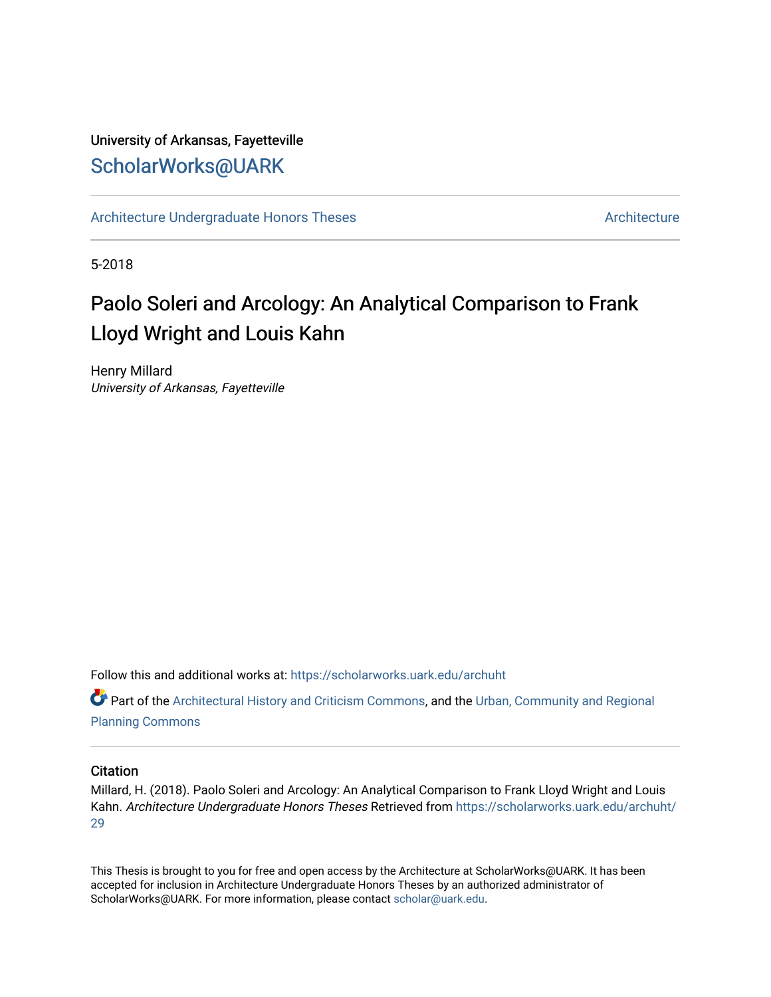# University of Arkansas, Fayetteville [ScholarWorks@UARK](https://scholarworks.uark.edu/)

[Architecture Undergraduate Honors Theses](https://scholarworks.uark.edu/archuht) [Architecture](https://scholarworks.uark.edu/arch) Architecture

5-2018

# Paolo Soleri and Arcology: An Analytical Comparison to Frank Lloyd Wright and Louis Kahn

Henry Millard University of Arkansas, Fayetteville

Follow this and additional works at: [https://scholarworks.uark.edu/archuht](https://scholarworks.uark.edu/archuht?utm_source=scholarworks.uark.edu%2Farchuht%2F29&utm_medium=PDF&utm_campaign=PDFCoverPages) 

Part of the [Architectural History and Criticism Commons,](http://network.bepress.com/hgg/discipline/780?utm_source=scholarworks.uark.edu%2Farchuht%2F29&utm_medium=PDF&utm_campaign=PDFCoverPages) and the [Urban, Community and Regional](http://network.bepress.com/hgg/discipline/776?utm_source=scholarworks.uark.edu%2Farchuht%2F29&utm_medium=PDF&utm_campaign=PDFCoverPages) [Planning Commons](http://network.bepress.com/hgg/discipline/776?utm_source=scholarworks.uark.edu%2Farchuht%2F29&utm_medium=PDF&utm_campaign=PDFCoverPages)

## **Citation**

Millard, H. (2018). Paolo Soleri and Arcology: An Analytical Comparison to Frank Lloyd Wright and Louis Kahn. Architecture Undergraduate Honors Theses Retrieved from [https://scholarworks.uark.edu/archuht/](https://scholarworks.uark.edu/archuht/29?utm_source=scholarworks.uark.edu%2Farchuht%2F29&utm_medium=PDF&utm_campaign=PDFCoverPages) [29](https://scholarworks.uark.edu/archuht/29?utm_source=scholarworks.uark.edu%2Farchuht%2F29&utm_medium=PDF&utm_campaign=PDFCoverPages)

This Thesis is brought to you for free and open access by the Architecture at ScholarWorks@UARK. It has been accepted for inclusion in Architecture Undergraduate Honors Theses by an authorized administrator of ScholarWorks@UARK. For more information, please contact [scholar@uark.edu](mailto:scholar@uark.edu).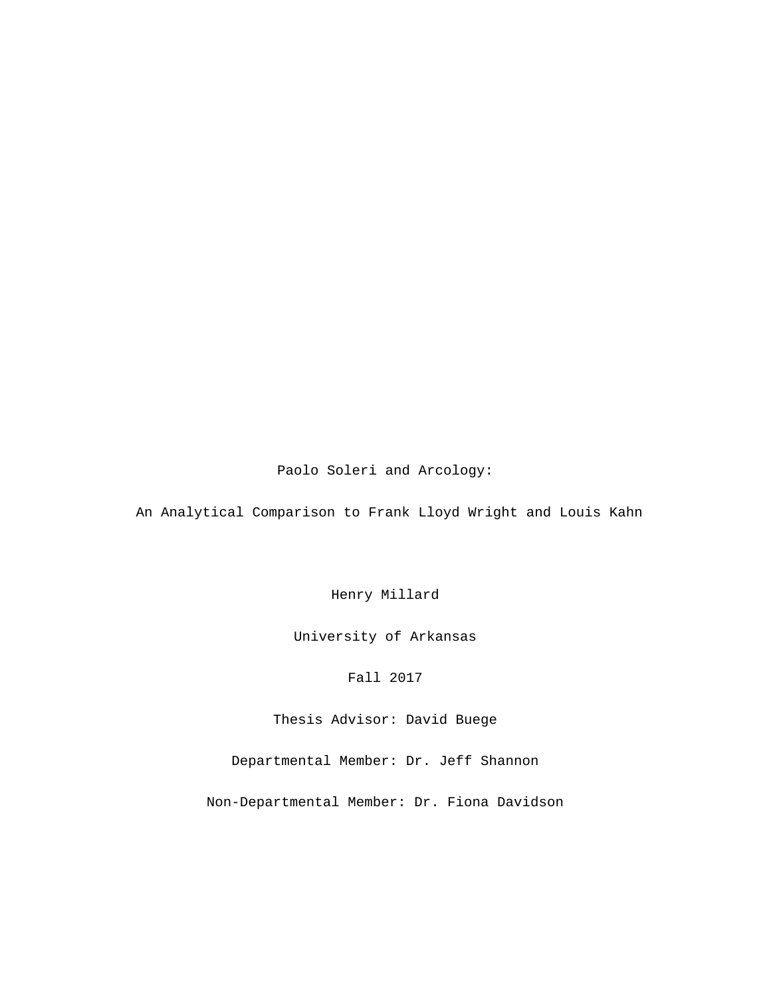Paolo Soleri and Arcology:

An Analytical Comparison to Frank Lloyd Wright and Louis Kahn

Henry Millard

University of Arkansas

Fall 2017

Thesis Advisor: David Buege

Departmental Member: Dr. Jeff Shannon

Non-Departmental Member: Dr. Fiona Davidson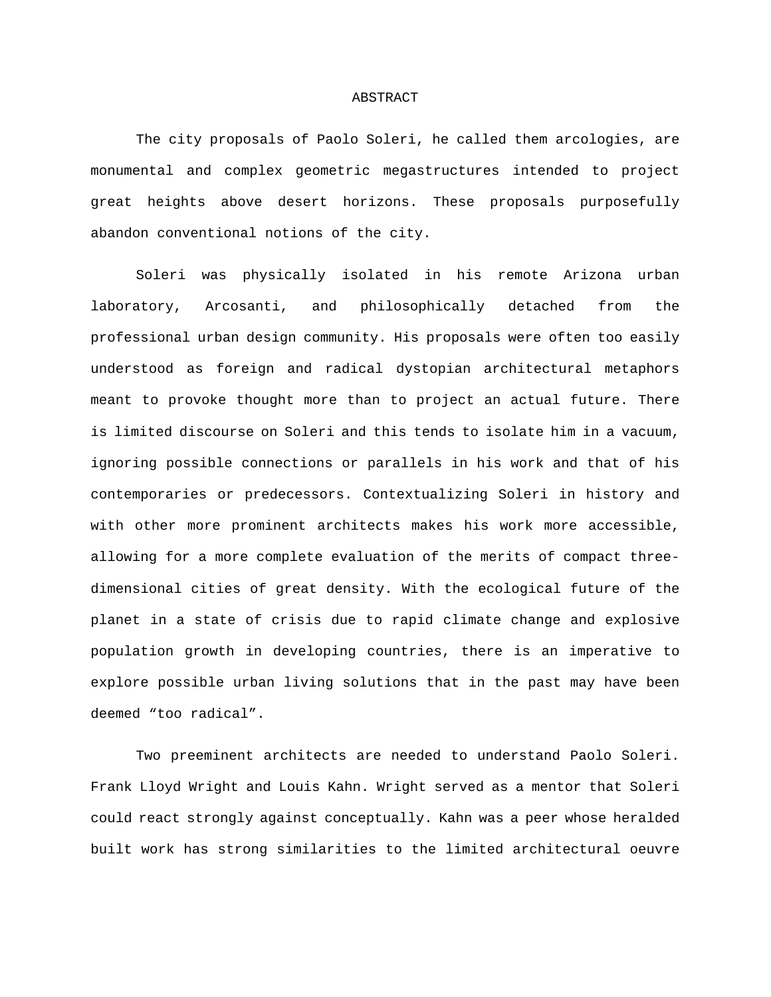#### ABSTRACT

The city proposals of Paolo Soleri, he called them arcologies, are monumental and complex geometric megastructures intended to project great heights above desert horizons. These proposals purposefully abandon conventional notions of the city.

Soleri was physically isolated in his remote Arizona urban laboratory, Arcosanti, and philosophically detached from the professional urban design community. His proposals were often too easily understood as foreign and radical dystopian architectural metaphors meant to provoke thought more than to project an actual future. There is limited discourse on Soleri and this tends to isolate him in a vacuum, ignoring possible connections or parallels in his work and that of his contemporaries or predecessors. Contextualizing Soleri in history and with other more prominent architects makes his work more accessible, allowing for a more complete evaluation of the merits of compact threedimensional cities of great density. With the ecological future of the planet in a state of crisis due to rapid climate change and explosive population growth in developing countries, there is an imperative to explore possible urban living solutions that in the past may have been deemed "too radical".

Two preeminent architects are needed to understand Paolo Soleri. Frank Lloyd Wright and Louis Kahn. Wright served as a mentor that Soleri could react strongly against conceptually. Kahn was a peer whose heralded built work has strong similarities to the limited architectural oeuvre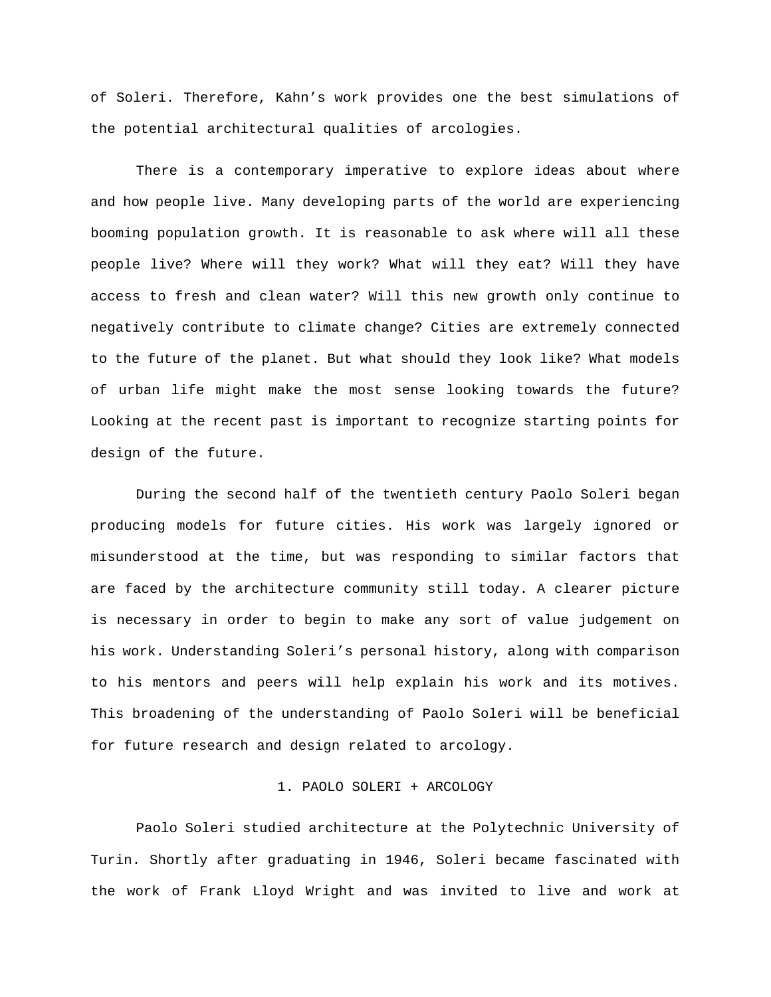of Soleri. Therefore, Kahn's work provides one the best simulations of the potential architectural qualities of arcologies.

There is a contemporary imperative to explore ideas about where and how people live. Many developing parts of the world are experiencing booming population growth. It is reasonable to ask where will all these people live? Where will they work? What will they eat? Will they have access to fresh and clean water? Will this new growth only continue to negatively contribute to climate change? Cities are extremely connected to the future of the planet. But what should they look like? What models of urban life might make the most sense looking towards the future? Looking at the recent past is important to recognize starting points for design of the future.

During the second half of the twentieth century Paolo Soleri began producing models for future cities. His work was largely ignored or misunderstood at the time, but was responding to similar factors that are faced by the architecture community still today. A clearer picture is necessary in order to begin to make any sort of value judgement on his work. Understanding Soleri's personal history, along with comparison to his mentors and peers will help explain his work and its motives. This broadening of the understanding of Paolo Soleri will be beneficial for future research and design related to arcology.

#### 1. PAOLO SOLERI + ARCOLOGY

Paolo Soleri studied architecture at the Polytechnic University of Turin. Shortly after graduating in 1946, Soleri became fascinated with the work of Frank Lloyd Wright and was invited to live and work at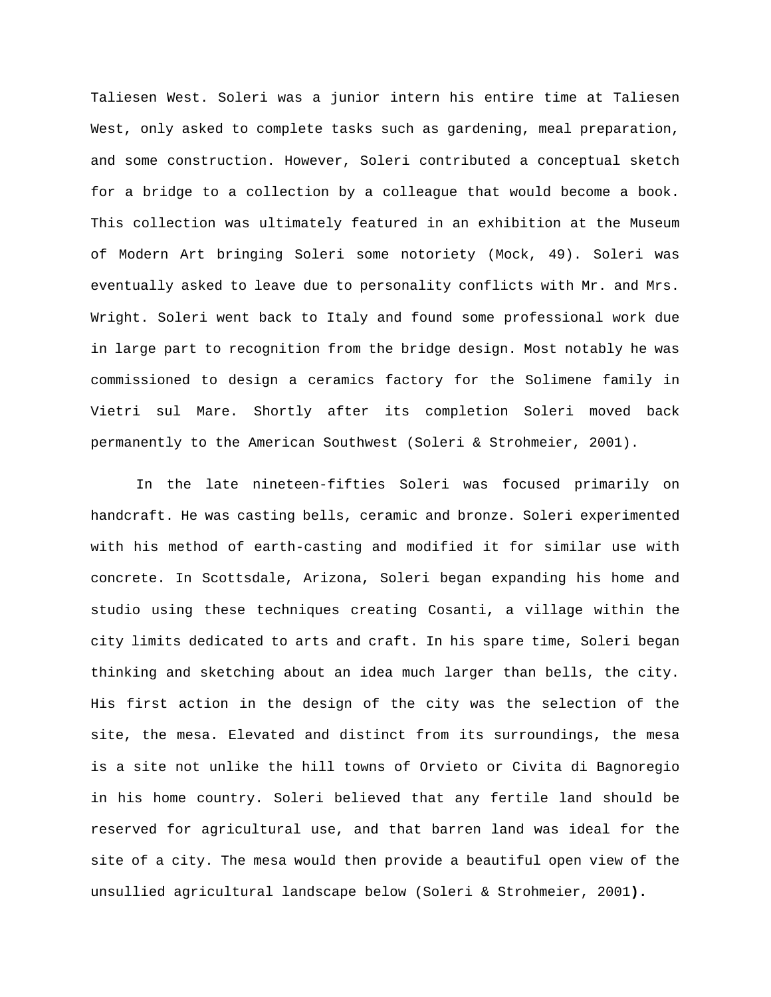Taliesen West. Soleri was a junior intern his entire time at Taliesen West, only asked to complete tasks such as gardening, meal preparation, and some construction. However, Soleri contributed a conceptual sketch for a bridge to a collection by a colleague that would become a book. This collection was ultimately featured in an exhibition at the Museum of Modern Art bringing Soleri some notoriety (Mock, 49). Soleri was eventually asked to leave due to personality conflicts with Mr. and Mrs. Wright. Soleri went back to Italy and found some professional work due in large part to recognition from the bridge design. Most notably he was commissioned to design a ceramics factory for the Solimene family in Vietri sul Mare. Shortly after its completion Soleri moved back permanently to the American Southwest (Soleri & Strohmeier, 2001).

In the late nineteen-fifties Soleri was focused primarily on handcraft. He was casting bells, ceramic and bronze. Soleri experimented with his method of earth-casting and modified it for similar use with concrete. In Scottsdale, Arizona, Soleri began expanding his home and studio using these techniques creating Cosanti, a village within the city limits dedicated to arts and craft. In his spare time, Soleri began thinking and sketching about an idea much larger than bells, the city. His first action in the design of the city was the selection of the site, the mesa. Elevated and distinct from its surroundings, the mesa is a site not unlike the hill towns of Orvieto or Civita di Bagnoregio in his home country. Soleri believed that any fertile land should be reserved for agricultural use, and that barren land was ideal for the site of a city. The mesa would then provide a beautiful open view of the unsullied agricultural landscape below (Soleri & Strohmeier, 2001**).**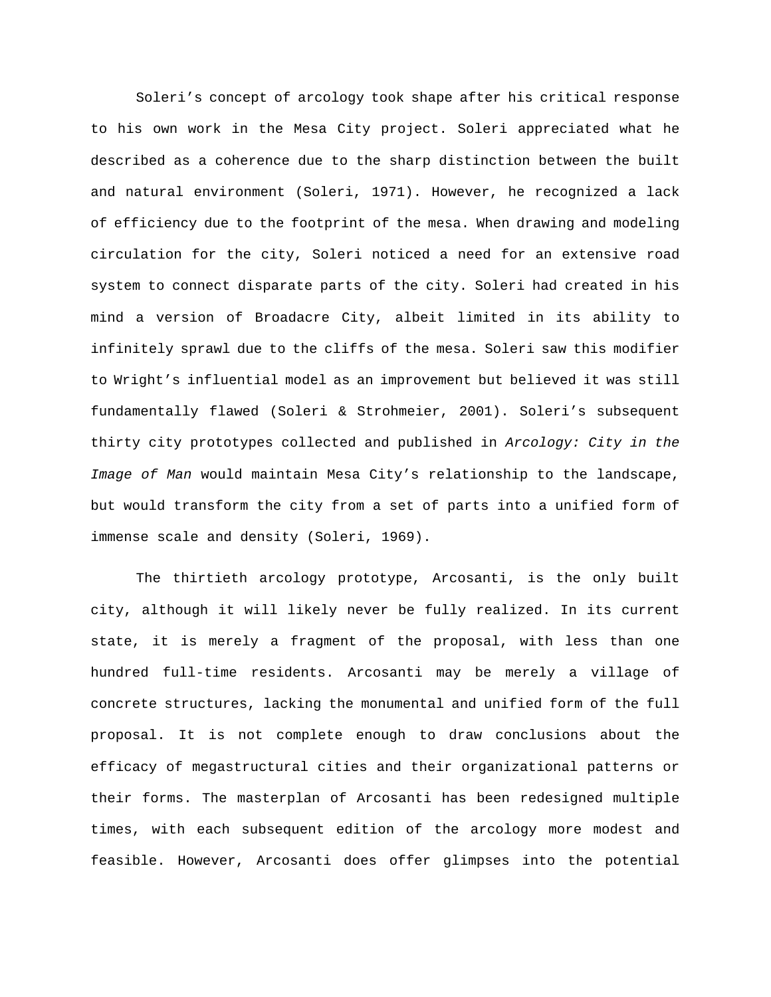Soleri's concept of arcology took shape after his critical response to his own work in the Mesa City project. Soleri appreciated what he described as a coherence due to the sharp distinction between the built and natural environment (Soleri, 1971). However, he recognized a lack of efficiency due to the footprint of the mesa. When drawing and modeling circulation for the city, Soleri noticed a need for an extensive road system to connect disparate parts of the city. Soleri had created in his mind a version of Broadacre City, albeit limited in its ability to infinitely sprawl due to the cliffs of the mesa. Soleri saw this modifier to Wright's influential model as an improvement but believed it was still fundamentally flawed (Soleri & Strohmeier, 2001). Soleri's subsequent thirty city prototypes collected and published in *Arcology: City in the Image of Man* would maintain Mesa City's relationship to the landscape, but would transform the city from a set of parts into a unified form of immense scale and density (Soleri, 1969).

The thirtieth arcology prototype, Arcosanti, is the only built city, although it will likely never be fully realized. In its current state, it is merely a fragment of the proposal, with less than one hundred full-time residents. Arcosanti may be merely a village of concrete structures, lacking the monumental and unified form of the full proposal. It is not complete enough to draw conclusions about the efficacy of megastructural cities and their organizational patterns or their forms. The masterplan of Arcosanti has been redesigned multiple times, with each subsequent edition of the arcology more modest and feasible. However, Arcosanti does offer glimpses into the potential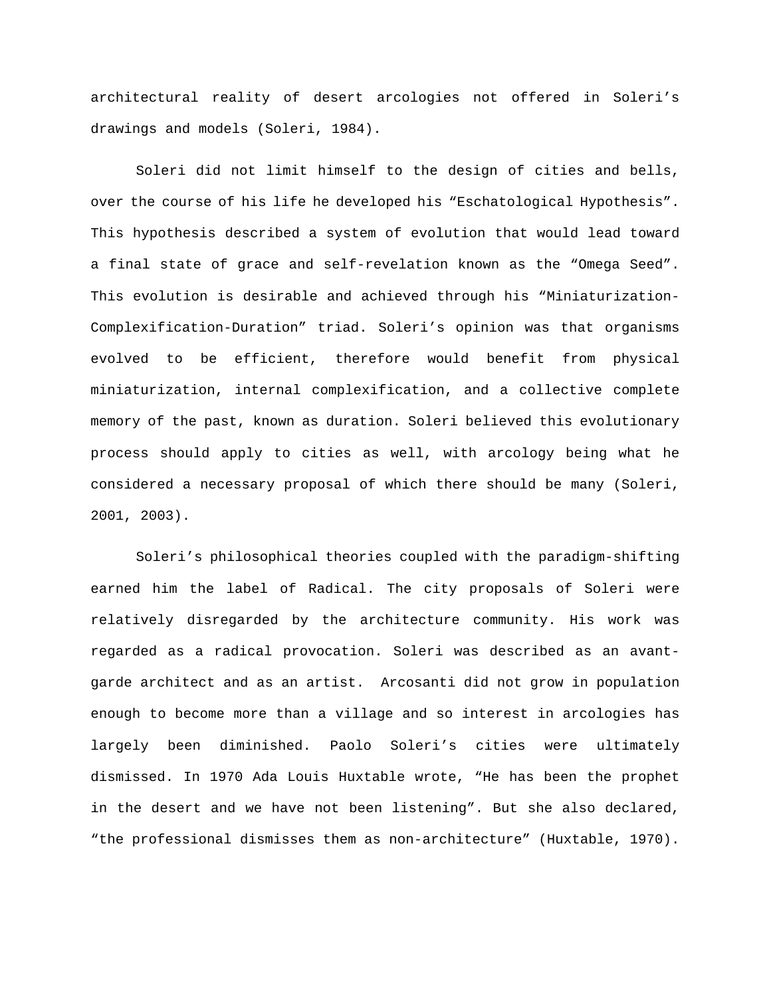architectural reality of desert arcologies not offered in Soleri's drawings and models (Soleri, 1984).

Soleri did not limit himself to the design of cities and bells, over the course of his life he developed his "Eschatological Hypothesis". This hypothesis described a system of evolution that would lead toward a final state of grace and self-revelation known as the "Omega Seed". This evolution is desirable and achieved through his "Miniaturization-Complexification-Duration" triad. Soleri's opinion was that organisms evolved to be efficient, therefore would benefit from physical miniaturization, internal complexification, and a collective complete memory of the past, known as duration. Soleri believed this evolutionary process should apply to cities as well, with arcology being what he considered a necessary proposal of which there should be many (Soleri, 2001, 2003).

Soleri's philosophical theories coupled with the paradigm-shifting earned him the label of Radical. The city proposals of Soleri were relatively disregarded by the architecture community. His work was regarded as a radical provocation. Soleri was described as an avantgarde architect and as an artist. Arcosanti did not grow in population enough to become more than a village and so interest in arcologies has largely been diminished. Paolo Soleri's cities were ultimately dismissed. In 1970 Ada Louis Huxtable wrote, "He has been the prophet in the desert and we have not been listening". But she also declared, "the professional dismisses them as non-architecture" (Huxtable, 1970).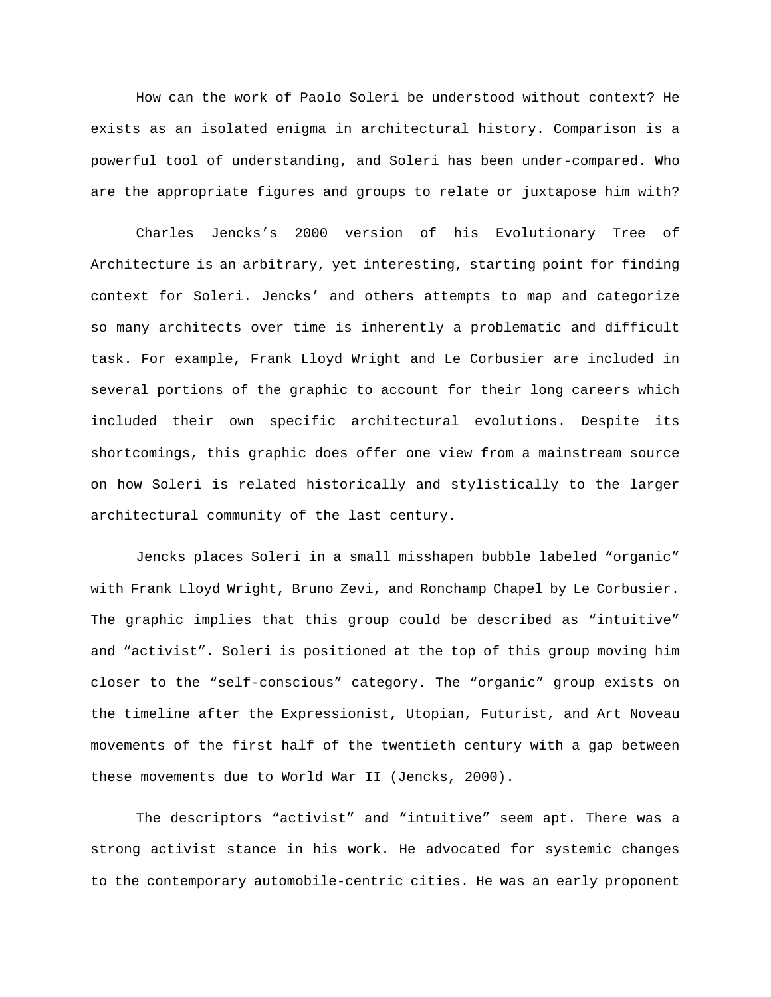How can the work of Paolo Soleri be understood without context? He exists as an isolated enigma in architectural history. Comparison is a powerful tool of understanding, and Soleri has been under-compared. Who are the appropriate figures and groups to relate or juxtapose him with?

Charles Jencks's 2000 version of his Evolutionary Tree of Architecture is an arbitrary, yet interesting, starting point for finding context for Soleri. Jencks' and others attempts to map and categorize so many architects over time is inherently a problematic and difficult task. For example, Frank Lloyd Wright and Le Corbusier are included in several portions of the graphic to account for their long careers which included their own specific architectural evolutions. Despite its shortcomings, this graphic does offer one view from a mainstream source on how Soleri is related historically and stylistically to the larger architectural community of the last century.

Jencks places Soleri in a small misshapen bubble labeled "organic" with Frank Lloyd Wright, Bruno Zevi, and Ronchamp Chapel by Le Corbusier. The graphic implies that this group could be described as "intuitive" and "activist". Soleri is positioned at the top of this group moving him closer to the "self-conscious" category. The "organic" group exists on the timeline after the Expressionist, Utopian, Futurist, and Art Noveau movements of the first half of the twentieth century with a gap between these movements due to World War II (Jencks, 2000).

The descriptors "activist" and "intuitive" seem apt. There was a strong activist stance in his work. He advocated for systemic changes to the contemporary automobile-centric cities. He was an early proponent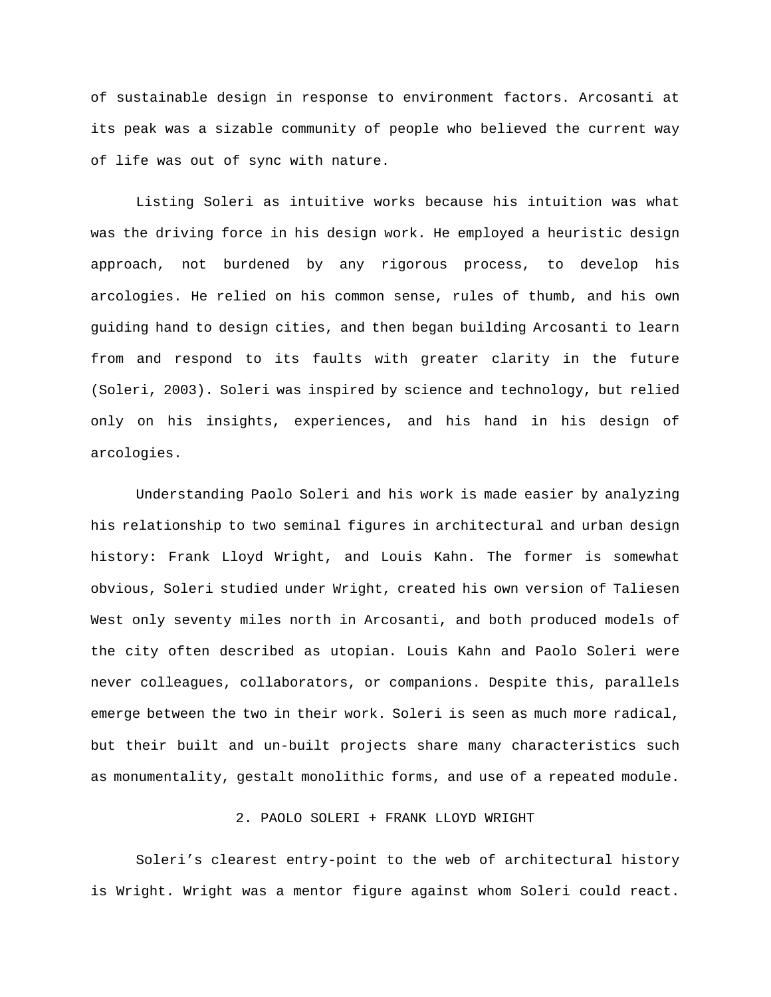of sustainable design in response to environment factors. Arcosanti at its peak was a sizable community of people who believed the current way of life was out of sync with nature.

Listing Soleri as intuitive works because his intuition was what was the driving force in his design work. He employed a heuristic design approach, not burdened by any rigorous process, to develop his arcologies. He relied on his common sense, rules of thumb, and his own guiding hand to design cities, and then began building Arcosanti to learn from and respond to its faults with greater clarity in the future (Soleri, 2003). Soleri was inspired by science and technology, but relied only on his insights, experiences, and his hand in his design of arcologies.

Understanding Paolo Soleri and his work is made easier by analyzing his relationship to two seminal figures in architectural and urban design history: Frank Lloyd Wright, and Louis Kahn. The former is somewhat obvious, Soleri studied under Wright, created his own version of Taliesen West only seventy miles north in Arcosanti, and both produced models of the city often described as utopian. Louis Kahn and Paolo Soleri were never colleagues, collaborators, or companions. Despite this, parallels emerge between the two in their work. Soleri is seen as much more radical, but their built and un-built projects share many characteristics such as monumentality, gestalt monolithic forms, and use of a repeated module.

### 2. PAOLO SOLERI + FRANK LLOYD WRIGHT

Soleri's clearest entry-point to the web of architectural history is Wright. Wright was a mentor figure against whom Soleri could react.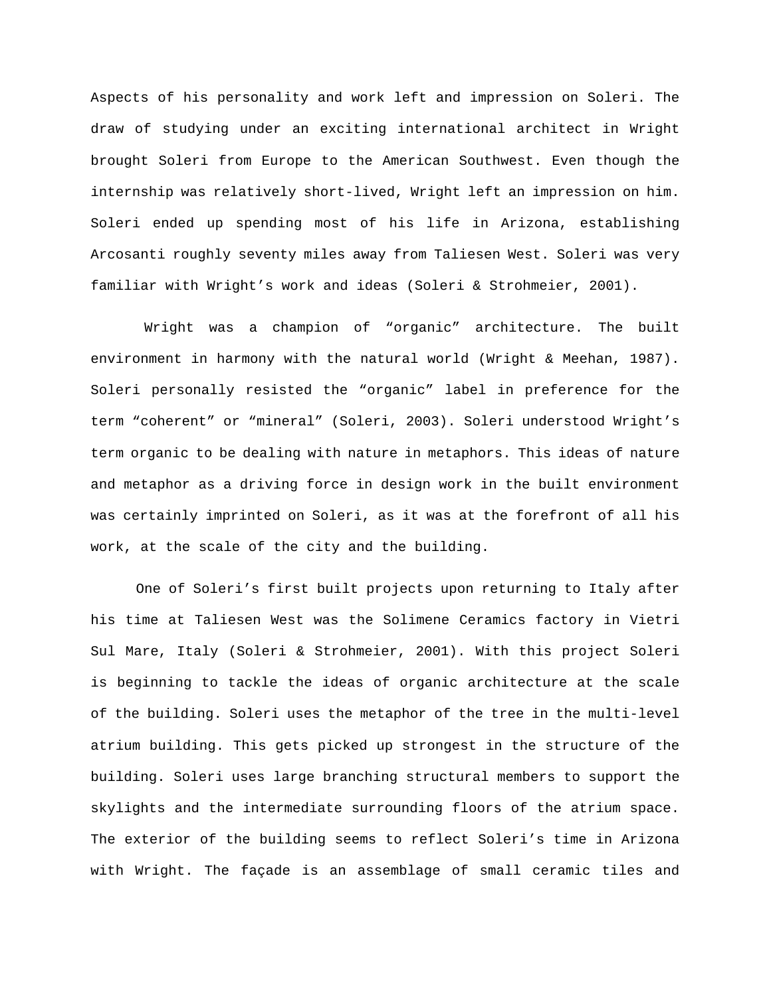Aspects of his personality and work left and impression on Soleri. The draw of studying under an exciting international architect in Wright brought Soleri from Europe to the American Southwest. Even though the internship was relatively short-lived, Wright left an impression on him. Soleri ended up spending most of his life in Arizona, establishing Arcosanti roughly seventy miles away from Taliesen West. Soleri was very familiar with Wright's work and ideas (Soleri & Strohmeier, 2001).

Wright was a champion of "organic" architecture. The built environment in harmony with the natural world (Wright & Meehan, 1987). Soleri personally resisted the "organic" label in preference for the term "coherent" or "mineral" (Soleri, 2003). Soleri understood Wright's term organic to be dealing with nature in metaphors. This ideas of nature and metaphor as a driving force in design work in the built environment was certainly imprinted on Soleri, as it was at the forefront of all his work, at the scale of the city and the building.

One of Soleri's first built projects upon returning to Italy after his time at Taliesen West was the Solimene Ceramics factory in Vietri Sul Mare, Italy (Soleri & Strohmeier, 2001). With this project Soleri is beginning to tackle the ideas of organic architecture at the scale of the building. Soleri uses the metaphor of the tree in the multi-level atrium building. This gets picked up strongest in the structure of the building. Soleri uses large branching structural members to support the skylights and the intermediate surrounding floors of the atrium space. The exterior of the building seems to reflect Soleri's time in Arizona with Wright. The façade is an assemblage of small ceramic tiles and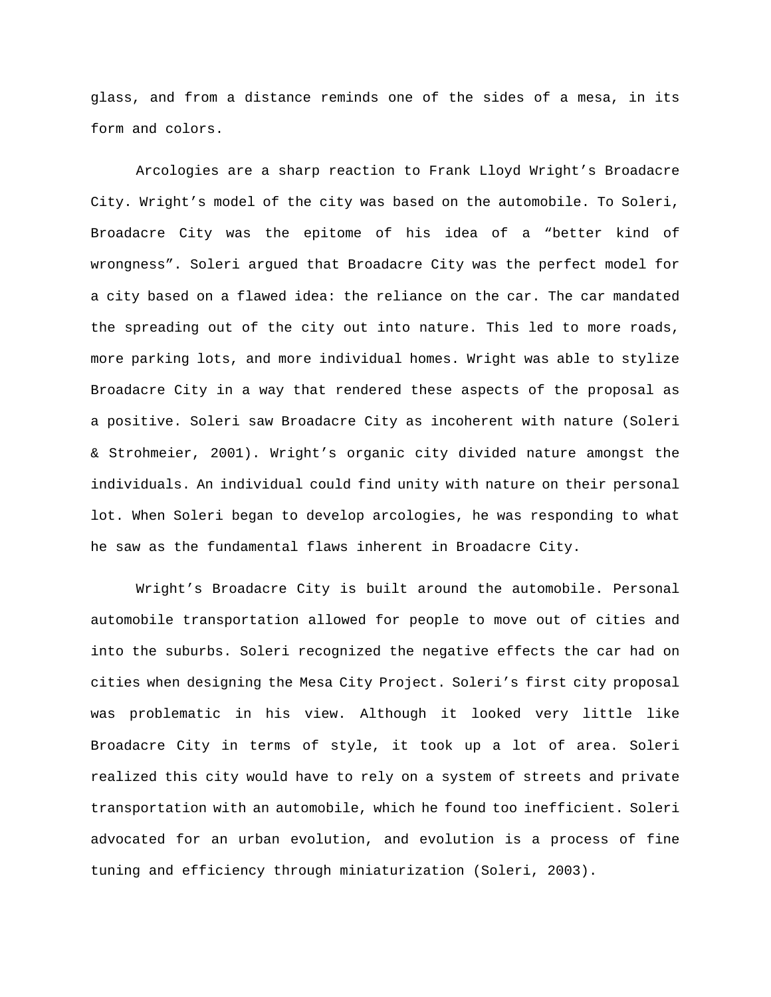glass, and from a distance reminds one of the sides of a mesa, in its form and colors.

Arcologies are a sharp reaction to Frank Lloyd Wright's Broadacre City. Wright's model of the city was based on the automobile. To Soleri, Broadacre City was the epitome of his idea of a "better kind of wrongness". Soleri argued that Broadacre City was the perfect model for a city based on a flawed idea: the reliance on the car. The car mandated the spreading out of the city out into nature. This led to more roads, more parking lots, and more individual homes. Wright was able to stylize Broadacre City in a way that rendered these aspects of the proposal as a positive. Soleri saw Broadacre City as incoherent with nature (Soleri & Strohmeier, 2001). Wright's organic city divided nature amongst the individuals. An individual could find unity with nature on their personal lot. When Soleri began to develop arcologies, he was responding to what he saw as the fundamental flaws inherent in Broadacre City.

Wright's Broadacre City is built around the automobile. Personal automobile transportation allowed for people to move out of cities and into the suburbs. Soleri recognized the negative effects the car had on cities when designing the Mesa City Project. Soleri's first city proposal was problematic in his view. Although it looked very little like Broadacre City in terms of style, it took up a lot of area. Soleri realized this city would have to rely on a system of streets and private transportation with an automobile, which he found too inefficient. Soleri advocated for an urban evolution, and evolution is a process of fine tuning and efficiency through miniaturization (Soleri, 2003).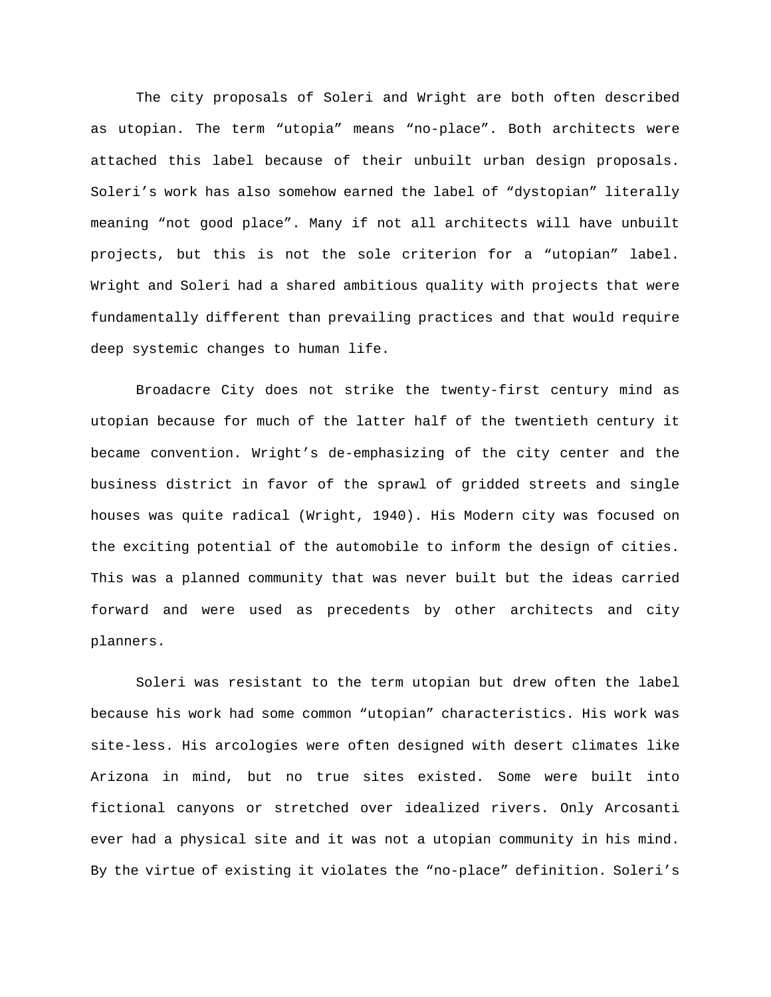The city proposals of Soleri and Wright are both often described as utopian. The term "utopia" means "no-place". Both architects were attached this label because of their unbuilt urban design proposals. Soleri's work has also somehow earned the label of "dystopian" literally meaning "not good place". Many if not all architects will have unbuilt projects, but this is not the sole criterion for a "utopian" label. Wright and Soleri had a shared ambitious quality with projects that were fundamentally different than prevailing practices and that would require deep systemic changes to human life.

Broadacre City does not strike the twenty-first century mind as utopian because for much of the latter half of the twentieth century it became convention. Wright's de-emphasizing of the city center and the business district in favor of the sprawl of gridded streets and single houses was quite radical (Wright, 1940). His Modern city was focused on the exciting potential of the automobile to inform the design of cities. This was a planned community that was never built but the ideas carried forward and were used as precedents by other architects and city planners.

Soleri was resistant to the term utopian but drew often the label because his work had some common "utopian" characteristics. His work was site-less. His arcologies were often designed with desert climates like Arizona in mind, but no true sites existed. Some were built into fictional canyons or stretched over idealized rivers. Only Arcosanti ever had a physical site and it was not a utopian community in his mind. By the virtue of existing it violates the "no-place" definition. Soleri's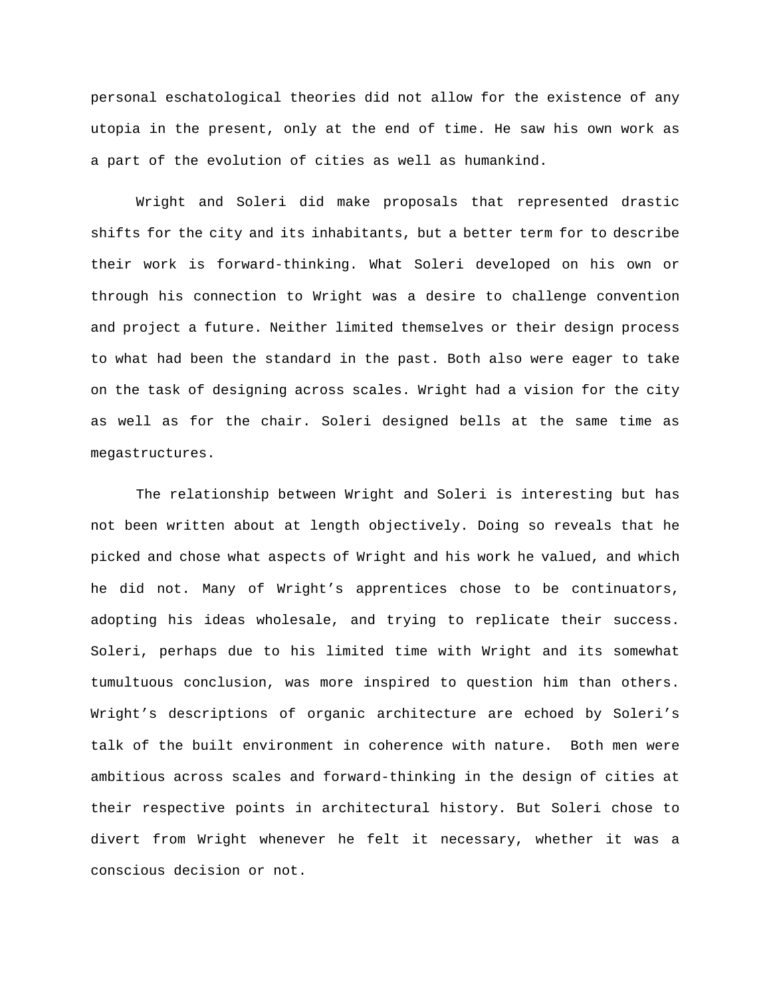personal eschatological theories did not allow for the existence of any utopia in the present, only at the end of time. He saw his own work as a part of the evolution of cities as well as humankind.

Wright and Soleri did make proposals that represented drastic shifts for the city and its inhabitants, but a better term for to describe their work is forward-thinking. What Soleri developed on his own or through his connection to Wright was a desire to challenge convention and project a future. Neither limited themselves or their design process to what had been the standard in the past. Both also were eager to take on the task of designing across scales. Wright had a vision for the city as well as for the chair. Soleri designed bells at the same time as megastructures.

The relationship between Wright and Soleri is interesting but has not been written about at length objectively. Doing so reveals that he picked and chose what aspects of Wright and his work he valued, and which he did not. Many of Wright's apprentices chose to be continuators, adopting his ideas wholesale, and trying to replicate their success. Soleri, perhaps due to his limited time with Wright and its somewhat tumultuous conclusion, was more inspired to question him than others. Wright's descriptions of organic architecture are echoed by Soleri's talk of the built environment in coherence with nature. Both men were ambitious across scales and forward-thinking in the design of cities at their respective points in architectural history. But Soleri chose to divert from Wright whenever he felt it necessary, whether it was a conscious decision or not.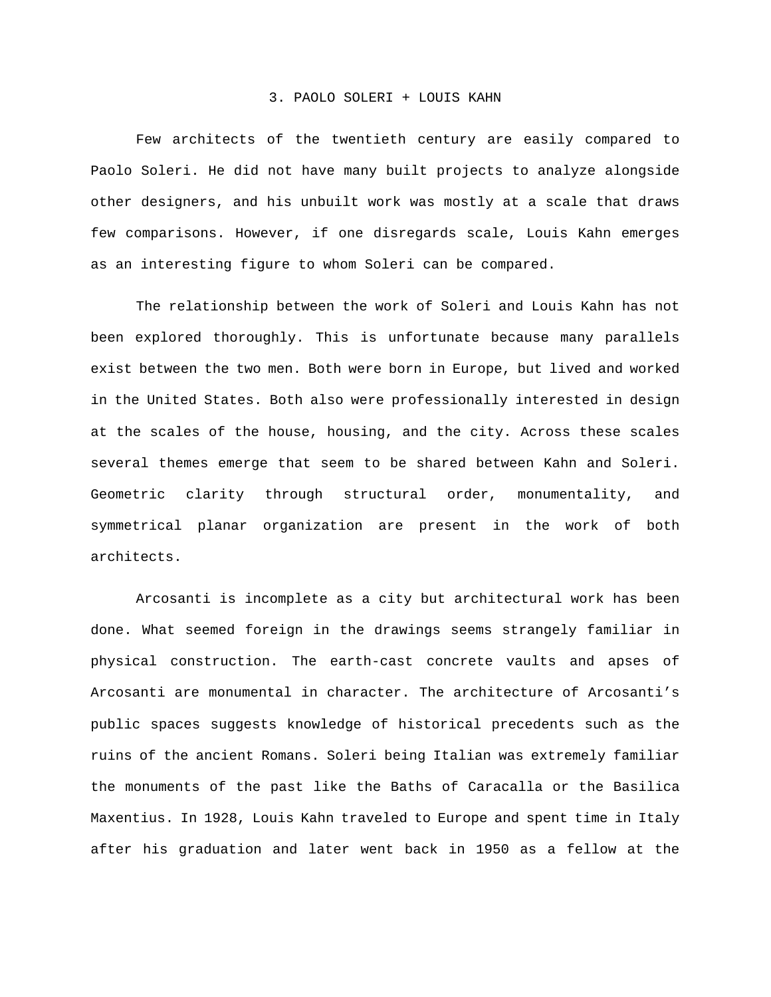#### 3. PAOLO SOLERI + LOUIS KAHN

Few architects of the twentieth century are easily compared to Paolo Soleri. He did not have many built projects to analyze alongside other designers, and his unbuilt work was mostly at a scale that draws few comparisons. However, if one disregards scale, Louis Kahn emerges as an interesting figure to whom Soleri can be compared.

The relationship between the work of Soleri and Louis Kahn has not been explored thoroughly. This is unfortunate because many parallels exist between the two men. Both were born in Europe, but lived and worked in the United States. Both also were professionally interested in design at the scales of the house, housing, and the city. Across these scales several themes emerge that seem to be shared between Kahn and Soleri. Geometric clarity through structural order, monumentality, and symmetrical planar organization are present in the work of both architects.

Arcosanti is incomplete as a city but architectural work has been done. What seemed foreign in the drawings seems strangely familiar in physical construction. The earth-cast concrete vaults and apses of Arcosanti are monumental in character. The architecture of Arcosanti's public spaces suggests knowledge of historical precedents such as the ruins of the ancient Romans. Soleri being Italian was extremely familiar the monuments of the past like the Baths of Caracalla or the Basilica Maxentius. In 1928, Louis Kahn traveled to Europe and spent time in Italy after his graduation and later went back in 1950 as a fellow at the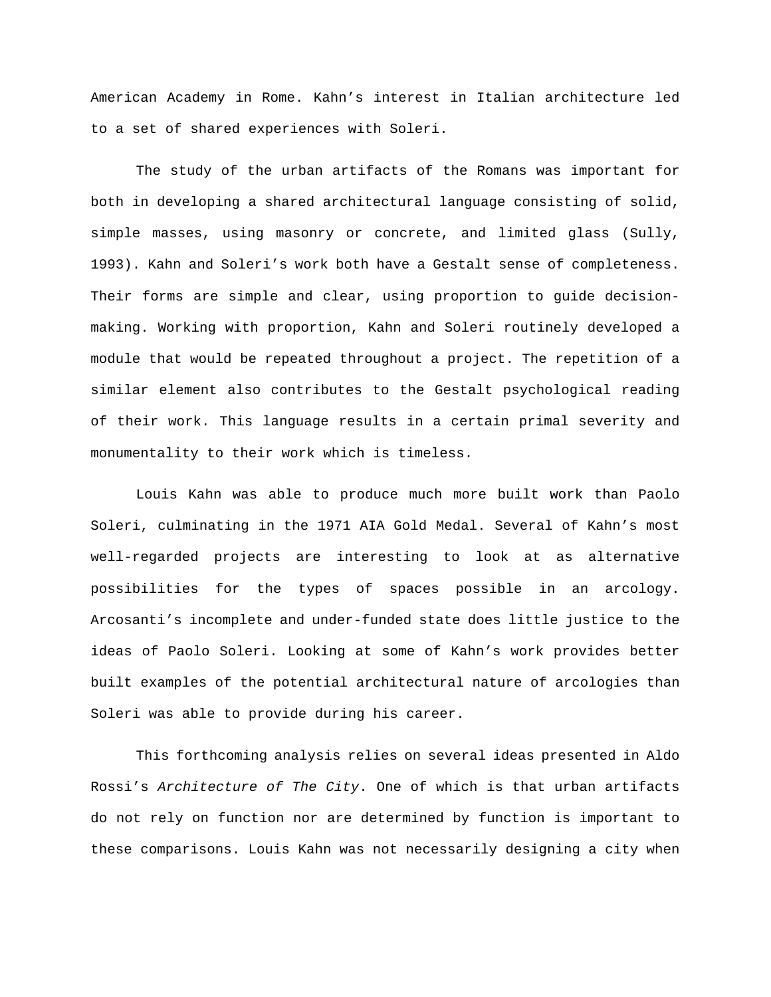American Academy in Rome. Kahn's interest in Italian architecture led to a set of shared experiences with Soleri.

The study of the urban artifacts of the Romans was important for both in developing a shared architectural language consisting of solid, simple masses, using masonry or concrete, and limited glass (Sully, 1993). Kahn and Soleri's work both have a Gestalt sense of completeness. Their forms are simple and clear, using proportion to guide decisionmaking. Working with proportion, Kahn and Soleri routinely developed a module that would be repeated throughout a project. The repetition of a similar element also contributes to the Gestalt psychological reading of their work. This language results in a certain primal severity and monumentality to their work which is timeless.

Louis Kahn was able to produce much more built work than Paolo Soleri, culminating in the 1971 AIA Gold Medal. Several of Kahn's most well-regarded projects are interesting to look at as alternative possibilities for the types of spaces possible in an arcology. Arcosanti's incomplete and under-funded state does little justice to the ideas of Paolo Soleri. Looking at some of Kahn's work provides better built examples of the potential architectural nature of arcologies than Soleri was able to provide during his career.

This forthcoming analysis relies on several ideas presented in Aldo Rossi's *Architecture of The City*. One of which is that urban artifacts do not rely on function nor are determined by function is important to these comparisons. Louis Kahn was not necessarily designing a city when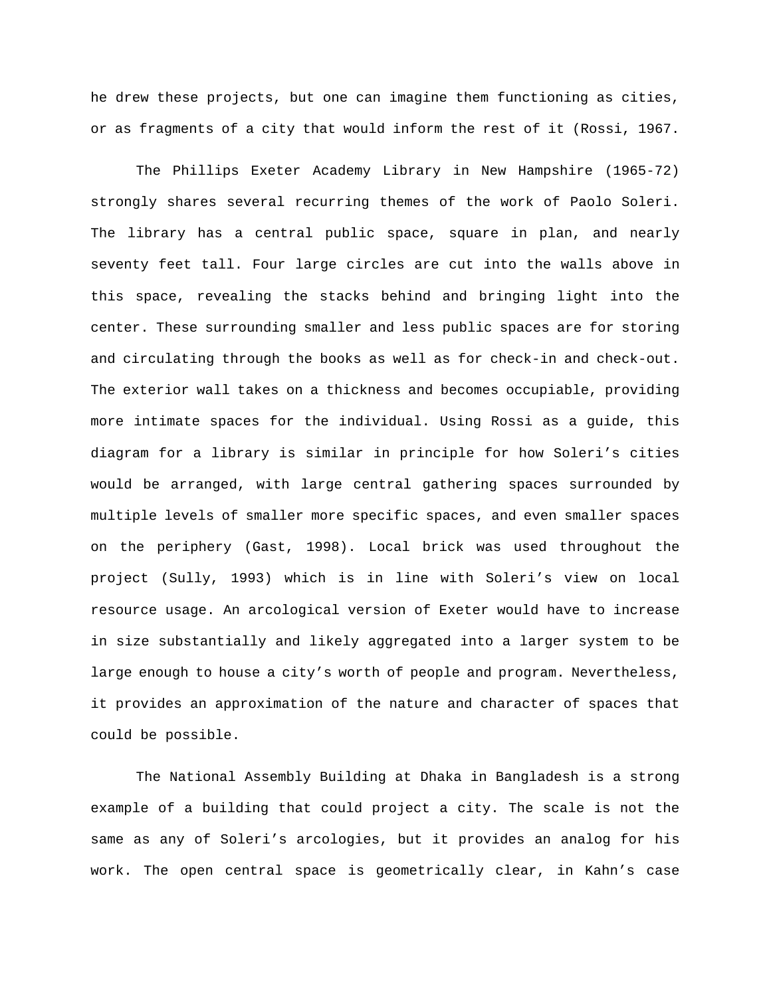he drew these projects, but one can imagine them functioning as cities, or as fragments of a city that would inform the rest of it (Rossi, 1967.

The Phillips Exeter Academy Library in New Hampshire (1965-72) strongly shares several recurring themes of the work of Paolo Soleri. The library has a central public space, square in plan, and nearly seventy feet tall. Four large circles are cut into the walls above in this space, revealing the stacks behind and bringing light into the center. These surrounding smaller and less public spaces are for storing and circulating through the books as well as for check-in and check-out. The exterior wall takes on a thickness and becomes occupiable, providing more intimate spaces for the individual. Using Rossi as a guide, this diagram for a library is similar in principle for how Soleri's cities would be arranged, with large central gathering spaces surrounded by multiple levels of smaller more specific spaces, and even smaller spaces on the periphery (Gast, 1998). Local brick was used throughout the project (Sully, 1993) which is in line with Soleri's view on local resource usage. An arcological version of Exeter would have to increase in size substantially and likely aggregated into a larger system to be large enough to house a city's worth of people and program. Nevertheless, it provides an approximation of the nature and character of spaces that could be possible.

The National Assembly Building at Dhaka in Bangladesh is a strong example of a building that could project a city. The scale is not the same as any of Soleri's arcologies, but it provides an analog for his work. The open central space is geometrically clear, in Kahn's case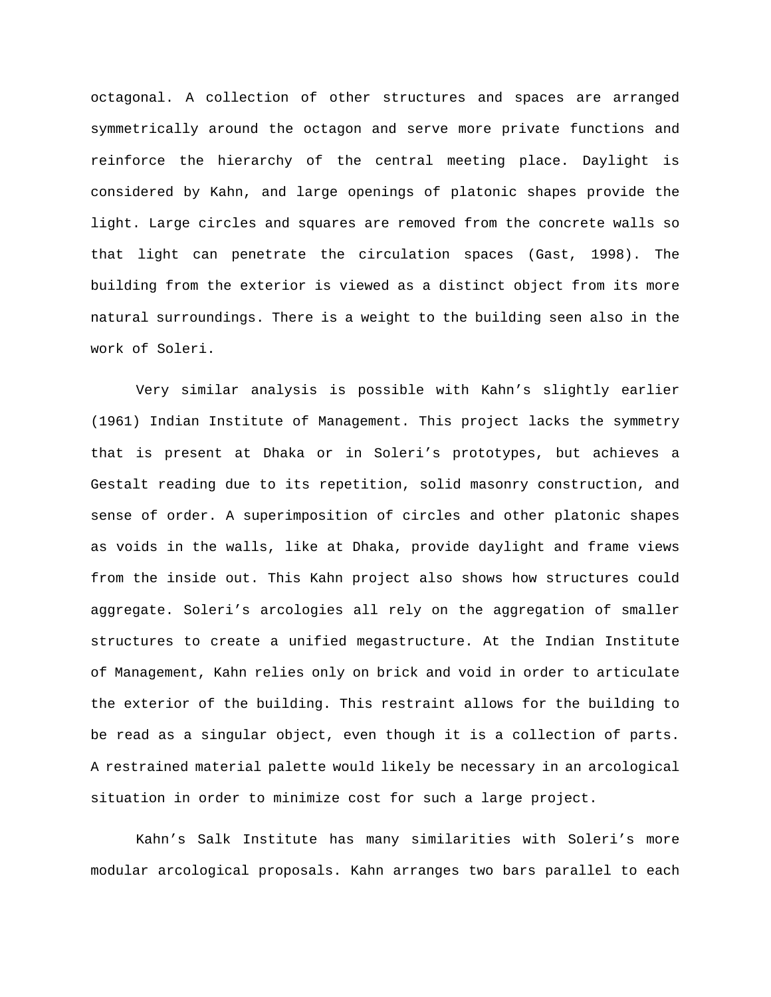octagonal. A collection of other structures and spaces are arranged symmetrically around the octagon and serve more private functions and reinforce the hierarchy of the central meeting place. Daylight is considered by Kahn, and large openings of platonic shapes provide the light. Large circles and squares are removed from the concrete walls so that light can penetrate the circulation spaces (Gast, 1998). The building from the exterior is viewed as a distinct object from its more natural surroundings. There is a weight to the building seen also in the work of Soleri.

Very similar analysis is possible with Kahn's slightly earlier (1961) Indian Institute of Management. This project lacks the symmetry that is present at Dhaka or in Soleri's prototypes, but achieves a Gestalt reading due to its repetition, solid masonry construction, and sense of order. A superimposition of circles and other platonic shapes as voids in the walls, like at Dhaka, provide daylight and frame views from the inside out. This Kahn project also shows how structures could aggregate. Soleri's arcologies all rely on the aggregation of smaller structures to create a unified megastructure. At the Indian Institute of Management, Kahn relies only on brick and void in order to articulate the exterior of the building. This restraint allows for the building to be read as a singular object, even though it is a collection of parts. A restrained material palette would likely be necessary in an arcological situation in order to minimize cost for such a large project.

Kahn's Salk Institute has many similarities with Soleri's more modular arcological proposals. Kahn arranges two bars parallel to each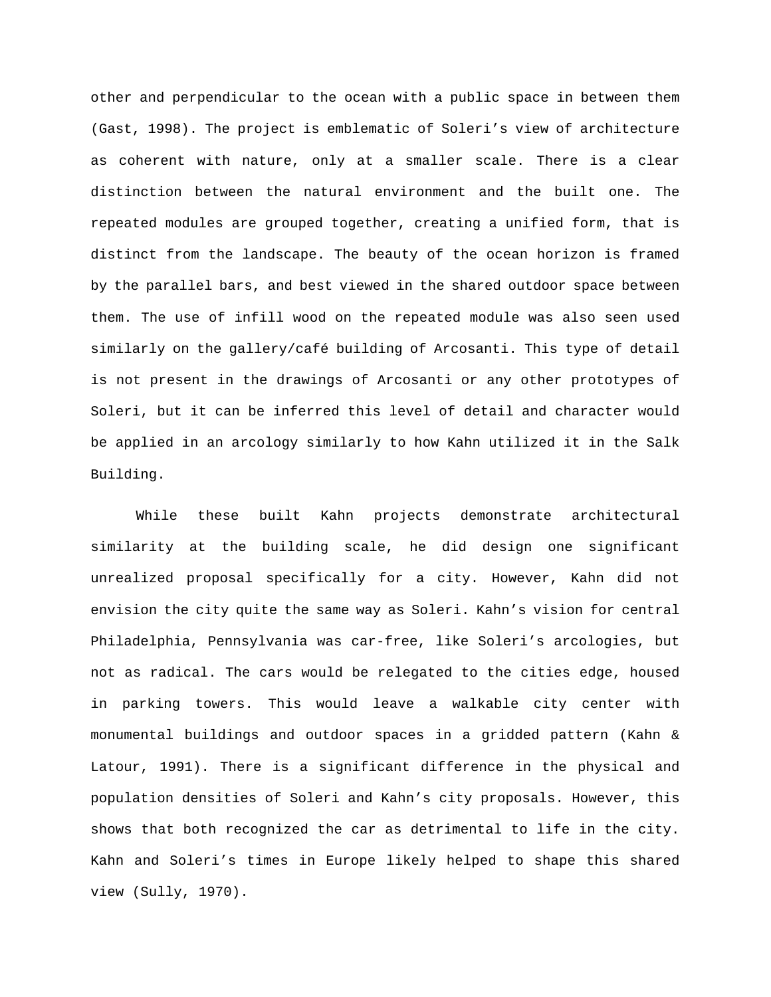other and perpendicular to the ocean with a public space in between them (Gast, 1998). The project is emblematic of Soleri's view of architecture as coherent with nature, only at a smaller scale. There is a clear distinction between the natural environment and the built one. The repeated modules are grouped together, creating a unified form, that is distinct from the landscape. The beauty of the ocean horizon is framed by the parallel bars, and best viewed in the shared outdoor space between them. The use of infill wood on the repeated module was also seen used similarly on the gallery/café building of Arcosanti. This type of detail is not present in the drawings of Arcosanti or any other prototypes of Soleri, but it can be inferred this level of detail and character would be applied in an arcology similarly to how Kahn utilized it in the Salk Building.

While these built Kahn projects demonstrate architectural similarity at the building scale, he did design one significant unrealized proposal specifically for a city. However, Kahn did not envision the city quite the same way as Soleri. Kahn's vision for central Philadelphia, Pennsylvania was car-free, like Soleri's arcologies, but not as radical. The cars would be relegated to the cities edge, housed in parking towers. This would leave a walkable city center with monumental buildings and outdoor spaces in a gridded pattern (Kahn & Latour, 1991). There is a significant difference in the physical and population densities of Soleri and Kahn's city proposals. However, this shows that both recognized the car as detrimental to life in the city. Kahn and Soleri's times in Europe likely helped to shape this shared view (Sully, 1970).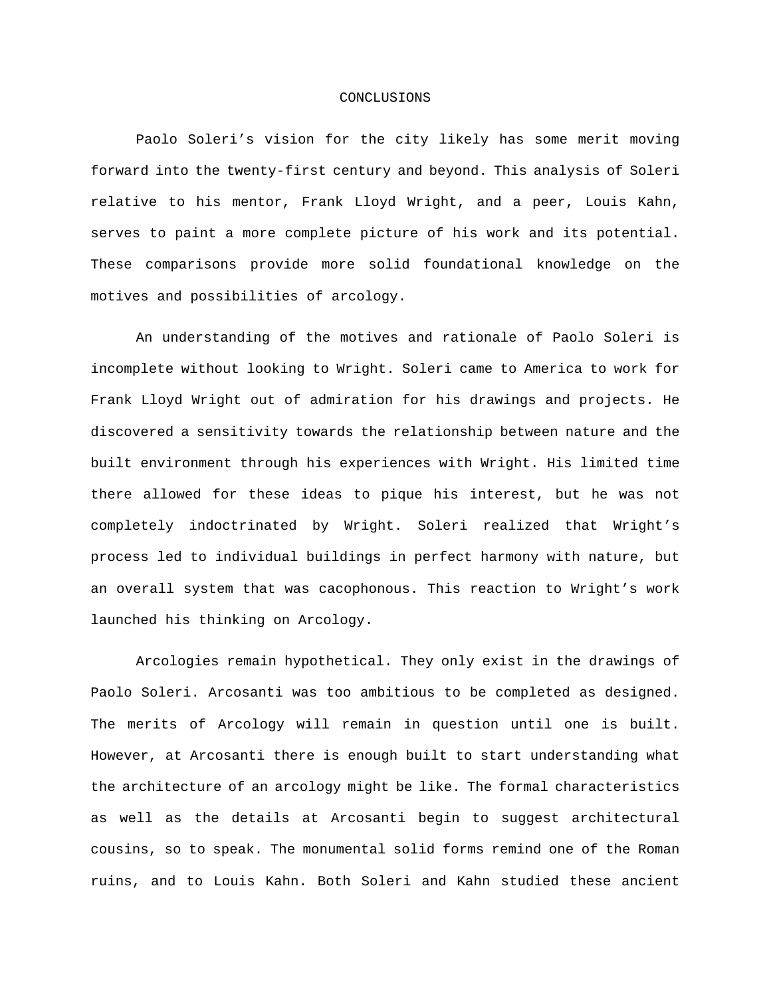#### CONCLUSIONS

Paolo Soleri's vision for the city likely has some merit moving forward into the twenty-first century and beyond. This analysis of Soleri relative to his mentor, Frank Lloyd Wright, and a peer, Louis Kahn, serves to paint a more complete picture of his work and its potential. These comparisons provide more solid foundational knowledge on the motives and possibilities of arcology.

An understanding of the motives and rationale of Paolo Soleri is incomplete without looking to Wright. Soleri came to America to work for Frank Lloyd Wright out of admiration for his drawings and projects. He discovered a sensitivity towards the relationship between nature and the built environment through his experiences with Wright. His limited time there allowed for these ideas to pique his interest, but he was not completely indoctrinated by Wright. Soleri realized that Wright's process led to individual buildings in perfect harmony with nature, but an overall system that was cacophonous. This reaction to Wright's work launched his thinking on Arcology.

Arcologies remain hypothetical. They only exist in the drawings of Paolo Soleri. Arcosanti was too ambitious to be completed as designed. The merits of Arcology will remain in question until one is built. However, at Arcosanti there is enough built to start understanding what the architecture of an arcology might be like. The formal characteristics as well as the details at Arcosanti begin to suggest architectural cousins, so to speak. The monumental solid forms remind one of the Roman ruins, and to Louis Kahn. Both Soleri and Kahn studied these ancient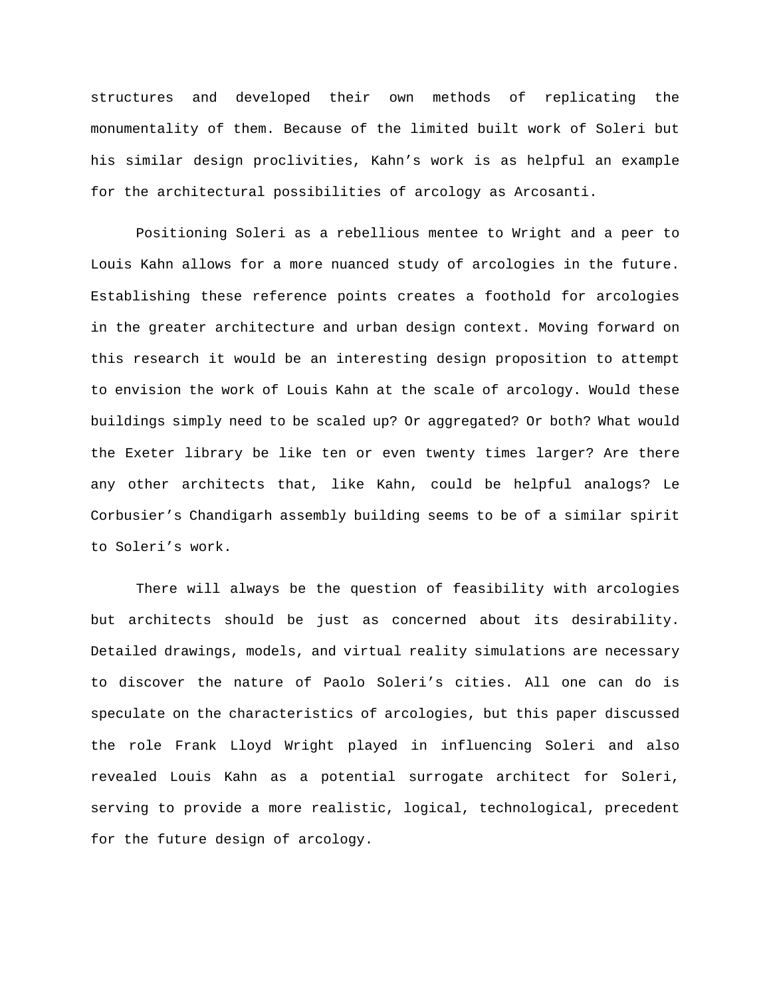structures and developed their own methods of replicating the monumentality of them. Because of the limited built work of Soleri but his similar design proclivities, Kahn's work is as helpful an example for the architectural possibilities of arcology as Arcosanti.

Positioning Soleri as a rebellious mentee to Wright and a peer to Louis Kahn allows for a more nuanced study of arcologies in the future. Establishing these reference points creates a foothold for arcologies in the greater architecture and urban design context. Moving forward on this research it would be an interesting design proposition to attempt to envision the work of Louis Kahn at the scale of arcology. Would these buildings simply need to be scaled up? Or aggregated? Or both? What would the Exeter library be like ten or even twenty times larger? Are there any other architects that, like Kahn, could be helpful analogs? Le Corbusier's Chandigarh assembly building seems to be of a similar spirit to Soleri's work.

There will always be the question of feasibility with arcologies but architects should be just as concerned about its desirability. Detailed drawings, models, and virtual reality simulations are necessary to discover the nature of Paolo Soleri's cities. All one can do is speculate on the characteristics of arcologies, but this paper discussed the role Frank Lloyd Wright played in influencing Soleri and also revealed Louis Kahn as a potential surrogate architect for Soleri, serving to provide a more realistic, logical, technological, precedent for the future design of arcology.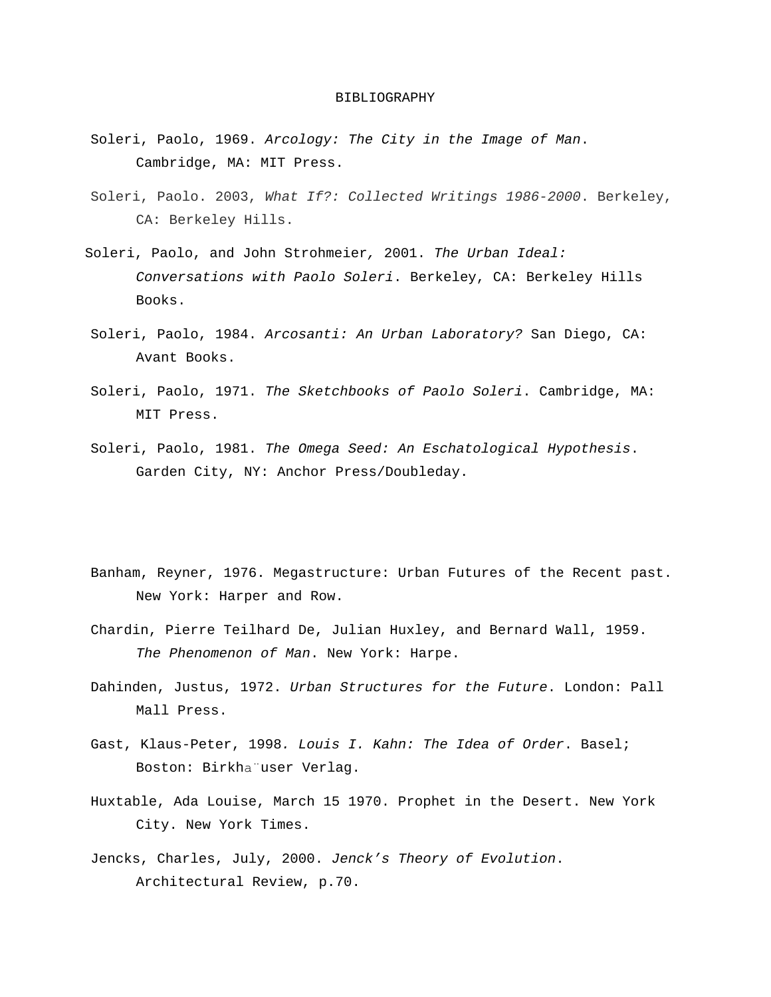#### BIBLIOGRAPHY

- Soleri, Paolo, 1969. *Arcology: The City in the Image of Man*. Cambridge, MA: MIT Press.
- Soleri, Paolo. 2003, *What If?: Collected Writings 1986-2000*. Berkeley, CA: Berkeley Hills.
- Soleri, Paolo, and John Strohmeier*,* 2001. *The Urban Ideal: Conversations with Paolo Soleri*. Berkeley, CA: Berkeley Hills Books.
- Soleri, Paolo, 1984. *Arcosanti: An Urban Laboratory?* San Diego, CA: Avant Books.
- Soleri, Paolo, 1971. *The Sketchbooks of Paolo Soleri*. Cambridge, MA: MIT Press.
- Soleri, Paolo, 1981. *The Omega Seed: An Eschatological Hypothesis*. Garden City, NY: Anchor Press/Doubleday.
- Banham, Reyner, 1976. Megastructure: Urban Futures of the Recent past. New York: Harper and Row.
- Chardin, Pierre Teilhard De, Julian Huxley, and Bernard Wall, 1959. *The Phenomenon of Man*. New York: Harpe.
- Dahinden, Justus, 1972. *Urban Structures for the Future*. London: Pall Mall Press.
- Gast, Klaus-Peter, 1998*. Louis I. Kahn: The Idea of Order*. Basel; Boston: Birkha"user Verlag.
- Huxtable, Ada Louise, March 15 1970. Prophet in the Desert. New York City. New York Times.
- Jencks, Charles, July, 2000. *Jenck's Theory of Evolution*. Architectural Review, p.70.